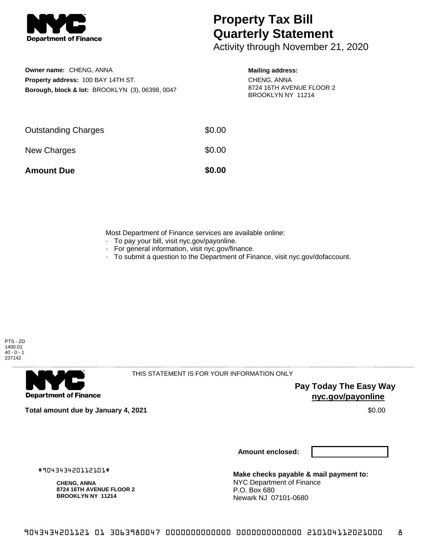

## **Property Tax Bill Quarterly Statement**

Activity through November 21, 2020

**Owner name:** CHENG, ANNA **Property address:** 100 BAY 14TH ST. **Borough, block & lot:** BROOKLYN (3), 06398, 0047 **Mailing address:**

CHENG, ANNA 8724 16TH AVENUE FLOOR 2 BROOKLYN NY 11214

| <b>Amount Due</b>          | \$0.00 |
|----------------------------|--------|
| New Charges                | \$0.00 |
| <b>Outstanding Charges</b> | \$0.00 |

Most Department of Finance services are available online:

- · To pay your bill, visit nyc.gov/payonline.
- For general information, visit nyc.gov/finance.
- · To submit a question to the Department of Finance, visit nyc.gov/dofaccount.



**Department of Finance** 

THIS STATEMENT IS FOR YOUR INFORMATION ONLY

**Pay Today The Easy Way nyc.gov/payonline**

**Total amount due by January 4, 2021** \$0.00

**Amount enclosed:**

#904343420112101#

**CHENG, ANNA 8724 16TH AVENUE FLOOR 2 BROOKLYN NY 11214**

**Make checks payable & mail payment to:** NYC Department of Finance P.O. Box 680 Newark NJ 07101-0680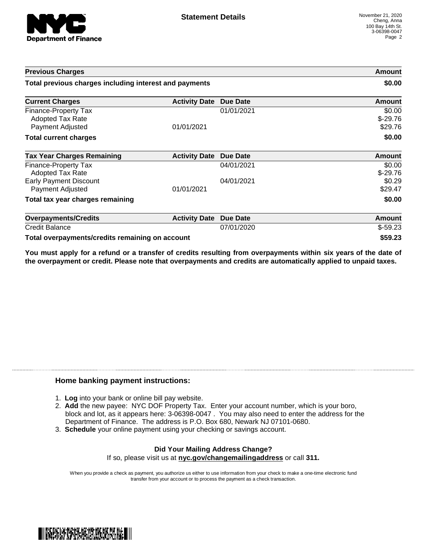

| <b>Previous Charges</b>                                             |                      |                 | Amount                         |
|---------------------------------------------------------------------|----------------------|-----------------|--------------------------------|
| Total previous charges including interest and payments              |                      |                 | \$0.00                         |
| <b>Current Charges</b>                                              | <b>Activity Date</b> | <b>Due Date</b> | Amount                         |
| Finance-Property Tax<br><b>Adopted Tax Rate</b><br>Payment Adjusted | 01/01/2021           | 01/01/2021      | \$0.00<br>$$-29.76$<br>\$29.76 |
| <b>Total current charges</b>                                        |                      |                 | \$0.00                         |
| <b>Tax Year Charges Remaining</b>                                   | <b>Activity Date</b> | Due Date        | Amount                         |
| Finance-Property Tax<br>Adopted Tax Rate                            |                      | 04/01/2021      | \$0.00<br>$$-29.76$            |
| <b>Early Payment Discount</b><br>Payment Adjusted                   | 01/01/2021           | 04/01/2021      | \$0.29<br>\$29.47              |
| Total tax year charges remaining                                    |                      |                 | \$0.00                         |
| <b>Overpayments/Credits</b>                                         | <b>Activity Date</b> | <b>Due Date</b> | Amount                         |
| <b>Credit Balance</b>                                               |                      | 07/01/2020      | $$-59.23$                      |
| Total overpayments/credits remaining on account                     |                      |                 | \$59.23                        |

You must apply for a refund or a transfer of credits resulting from overpayments within six years of the date of **the overpayment or credit. Please note that overpayments and credits are automatically applied to unpaid taxes.**

## **Home banking payment instructions:**

- 1. **Log** into your bank or online bill pay website.
- 2. **Add** the new payee: NYC DOF Property Tax. Enter your account number, which is your boro, block and lot, as it appears here: 3-06398-0047 . You may also need to enter the address for the Department of Finance. The address is P.O. Box 680, Newark NJ 07101-0680.
- 3. **Schedule** your online payment using your checking or savings account.

## **Did Your Mailing Address Change?** If so, please visit us at **nyc.gov/changemailingaddress** or call **311.**

When you provide a check as payment, you authorize us either to use information from your check to make a one-time electronic fund transfer from your account or to process the payment as a check transaction.